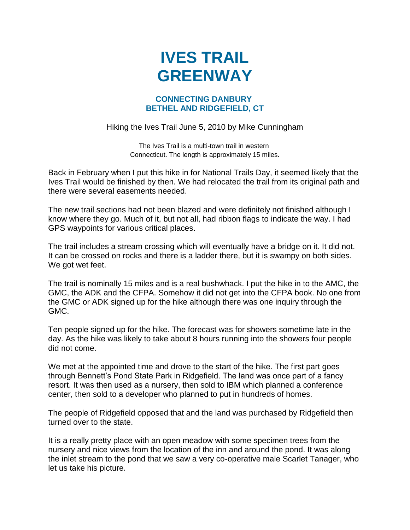## **IVES TRAIL GREENWAY**

## **CONNECTING DANBURY BETHEL AND RIDGEFIELD, CT**

Hiking the Ives Trail June 5, 2010 by Mike Cunningham

The Ives Trail is a multi-town trail in western Connecticut. The length is approximately 15 miles.

Back in February when I put this hike in for National Trails Day, it seemed likely that the Ives Trail would be finished by then. We had relocated the trail from its original path and there were several easements needed.

The new trail sections had not been blazed and were definitely not finished although I know where they go. Much of it, but not all, had ribbon flags to indicate the way. I had GPS waypoints for various critical places.

The trail includes a stream crossing which will eventually have a bridge on it. It did not. It can be crossed on rocks and there is a ladder there, but it is swampy on both sides. We got wet feet.

The trail is nominally 15 miles and is a real bushwhack. I put the hike in to the AMC, the GMC, the ADK and the CFPA. Somehow it did not get into the CFPA book. No one from the GMC or ADK signed up for the hike although there was one inquiry through the GMC.

Ten people signed up for the hike. The forecast was for showers sometime late in the day. As the hike was likely to take about 8 hours running into the showers four people did not come.

We met at the appointed time and drove to the start of the hike. The first part goes through Bennett's Pond State Park in Ridgefield. The land was once part of a fancy resort. It was then used as a nursery, then sold to IBM which planned a conference center, then sold to a developer who planned to put in hundreds of homes.

The people of Ridgefield opposed that and the land was purchased by Ridgefield then turned over to the state.

It is a really pretty place with an open meadow with some specimen trees from the nursery and nice views from the location of the inn and around the pond. It was along the inlet stream to the pond that we saw a very co-operative male Scarlet Tanager, who let us take his picture.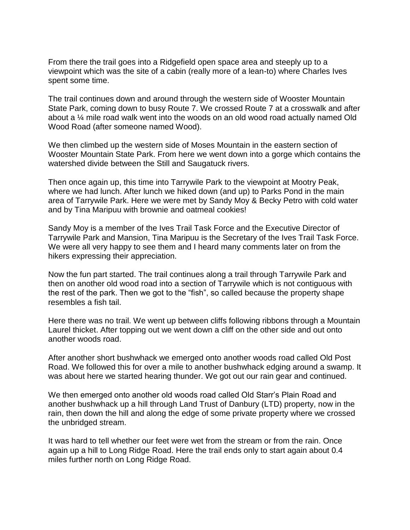From there the trail goes into a Ridgefield open space area and steeply up to a viewpoint which was the site of a cabin (really more of a lean-to) where Charles Ives spent some time.

The trail continues down and around through the western side of Wooster Mountain State Park, coming down to busy Route 7. We crossed Route 7 at a crosswalk and after about a ¼ mile road walk went into the woods on an old wood road actually named Old Wood Road (after someone named Wood).

We then climbed up the western side of Moses Mountain in the eastern section of Wooster Mountain State Park. From here we went down into a gorge which contains the watershed divide between the Still and Saugatuck rivers.

Then once again up, this time into Tarrywile Park to the viewpoint at Mootry Peak, where we had lunch. After lunch we hiked down (and up) to Parks Pond in the main area of Tarrywile Park. Here we were met by Sandy Moy & Becky Petro with cold water and by Tina Maripuu with brownie and oatmeal cookies!

Sandy Moy is a member of the Ives Trail Task Force and the Executive Director of Tarrywile Park and Mansion, Tina Maripuu is the Secretary of the Ives Trail Task Force. We were all very happy to see them and I heard many comments later on from the hikers expressing their appreciation.

Now the fun part started. The trail continues along a trail through Tarrywile Park and then on another old wood road into a section of Tarrywile which is not contiguous with the rest of the park. Then we got to the "fish", so called because the property shape resembles a fish tail.

Here there was no trail. We went up between cliffs following ribbons through a Mountain Laurel thicket. After topping out we went down a cliff on the other side and out onto another woods road.

After another short bushwhack we emerged onto another woods road called Old Post Road. We followed this for over a mile to another bushwhack edging around a swamp. It was about here we started hearing thunder. We got out our rain gear and continued.

We then emerged onto another old woods road called Old Starr's Plain Road and another bushwhack up a hill through Land Trust of Danbury (LTD) property, now in the rain, then down the hill and along the edge of some private property where we crossed the unbridged stream.

It was hard to tell whether our feet were wet from the stream or from the rain. Once again up a hill to Long Ridge Road. Here the trail ends only to start again about 0.4 miles further north on Long Ridge Road.